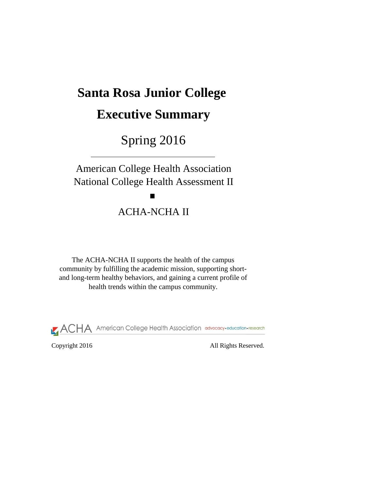# **Santa Rosa Junior College**

# **Executive Summary**

# Spring 2016

American College Health Association National College Health Assessment II

 $\blacksquare$ 

# ACHA-NCHA II

The ACHA-NCHA II supports the health of the campus community by fulfilling the academic mission, supporting shortand long-term healthy behaviors, and gaining a current profile of health trends within the campus community.

**ACHA** American College Health Association advocacy-education-research

Copyright 2016 All Rights Reserved.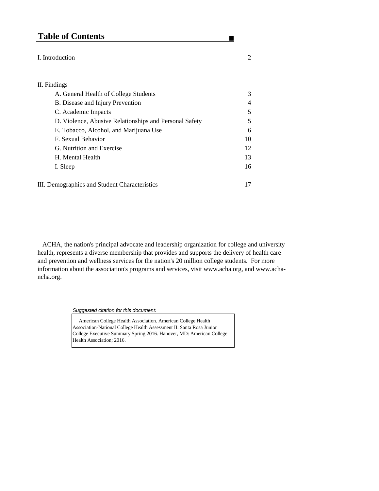# **Table of Contents**

#### I. Introduction 2

### II. Findings

| A. General Health of College Students                  | 3              |
|--------------------------------------------------------|----------------|
| B. Disease and Injury Prevention                       | $\overline{4}$ |
| C. Academic Impacts                                    | 5              |
| D. Violence, Abusive Relationships and Personal Safety | 5              |
| E. Tobacco, Alcohol, and Marijuana Use                 | 6              |
| F. Sexual Behavior                                     | 10             |
| G. Nutrition and Exercise                              | 12             |
| H. Mental Health                                       | 13             |
| I. Sleep                                               | 16             |
|                                                        |                |
| III. Demographics and Student Characteristics          | 17             |

 ACHA, the nation's principal advocate and leadership organization for college and university health, represents a diverse membership that provides and supports the delivery of health care and prevention and wellness services for the nation's 20 million college students. For more information about the association's programs and services, visit www.acha.org, and www.achancha.org.

*Suggested citation for this document:* 

 American College Health Association. American College Health Association-National College Health Assessment II: Santa Rosa Junior College Executive Summary Spring 2016. Hanover, MD: American College Health Association; 2016.

 $\blacksquare$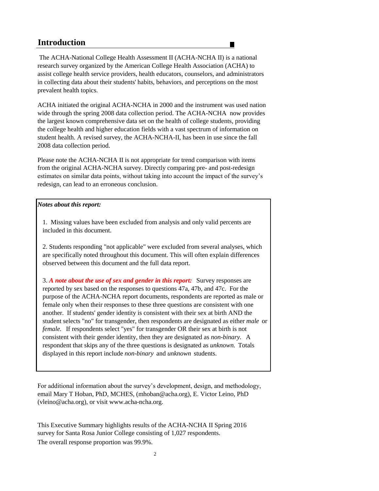## **Introduction**

 The ACHA-National College Health Assessment II (ACHA-NCHA II) is a national research survey organized by the American College Health Association (ACHA) to assist college health service providers, health educators, counselors, and administrators in collecting data about their students' habits, behaviors, and perceptions on the most prevalent health topics.

П

ACHA initiated the original ACHA-NCHA in 2000 and the instrument was used nation wide through the spring 2008 data collection period. The ACHA-NCHA now provides the largest known comprehensive data set on the health of college students, providing the college health and higher education fields with a vast spectrum of information on student health. A revised survey, the ACHA-NCHA-II, has been in use since the fall 2008 data collection period.

Please note the ACHA-NCHA II is not appropriate for trend comparison with items from the original ACHA-NCHA survey. Directly comparing pre- and post-redesign estimates on similar data points, without taking into account the impact of the survey's redesign, can lead to an erroneous conclusion.

### *Notes about this report:*

1. Missing values have been excluded from analysis and only valid percents are included in this document.

2. Students responding "not applicable" were excluded from several analyses, which are specifically noted throughout this document. This will often explain differences observed between this document and the full data report.

3. *A note about the use of sex and gender in this report:* Survey responses are reported by sex based on the responses to questions 47a, 47b, and 47c. For the purpose of the ACHA-NCHA report documents, respondents are reported as male or female only when their responses to these three questions are consistent with one another. If students' gender identity is consistent with their sex at birth AND the student selects "no" for transgender, then respondents are designated as either *male* or *female.* If respondents select "yes" for transgender OR their sex at birth is not consistent with their gender identity, then they are designated as *non-binary.* A respondent that skips any of the three questions is designated as *unknown.* Totals displayed in this report include *non-binary* and *unknown* students.

For additional information about the survey's development, design, and methodology, email Mary T Hoban, PhD, MCHES, (mhoban@acha.org), E. Victor Leino, PhD (vleino@acha.org), or visit www.acha-ncha.org.

The overall response proportion was 99.9%. survey for Santa Rosa Junior College consisting of 1,027 respondents. This Executive Summary highlights results of the ACHA-NCHA II Spring 2016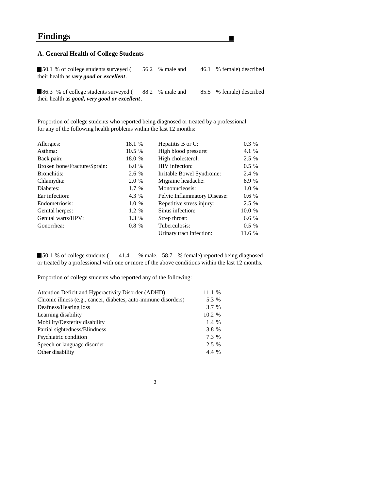## **Findings**

#### **A. General Health of College Students**

50.1 % of college students surveyed (56.2 % male and 46.1 % female) described their health as *very good or excellent .*

 $\blacksquare$ 

86.3 % of college students surveyed (88.2 % male and 85.5 % female) described their health as *good, very good or excellent .*

Proportion of college students who reported being diagnosed or treated by a professional for any of the following health problems within the last 12 months:

| Allergies:                   | 18.1 % | Hepatitis B or C:            | $0.3\%$ |
|------------------------------|--------|------------------------------|---------|
| Asthma:                      | 10.5 % | High blood pressure:         | 4.1 %   |
| Back pain:                   | 18.0 % | High cholesterol:            | 2.5 %   |
| Broken bone/Fracture/Sprain: | 6.0%   | HIV infection:               | $0.5\%$ |
| Bronchitis:                  | 2.6 %  | Irritable Bowel Syndrome:    | 2.4 %   |
| Chlamydia:                   | 2.0 %  | Migraine headache:           | 8.9 %   |
| Diabetes:                    | 1.7 %  | Mononucleosis:               | 1.0 %   |
| Ear infection:               | 4.3 %  | Pelvic Inflammatory Disease: | $0.6\%$ |
| Endometriosis:               | 1.0 %  | Repetitive stress injury:    | 2.5 %   |
| Genital herpes:              | 1.2 %  | Sinus infection:             | 10.0 %  |
| Genital warts/HPV:           | 1.3 %  | Strep throat:                | 6.6%    |
| Gonorrhea:                   | 0.8%   | Tuberculosis:                | $0.5\%$ |
|                              |        | Urinary tract infection:     | 11.6 %  |

■ 50.1 % of college students (41.4 % male, 58.7 % female) reported being diagnosed or treated by a professional with one or more of the above conditions within the last 12 months.

Proportion of college students who reported any of the following:

| Attention Deficit and Hyperactivity Disorder (ADHD)             | 11.1 % |
|-----------------------------------------------------------------|--------|
| Chronic illness (e.g., cancer, diabetes, auto-immune disorders) | 5.3 %  |
| Deafness/Hearing loss                                           | 3.7 %  |
| Learning disability                                             | 10.2 % |
| Mobility/Dexterity disability                                   | 1.4 %  |
| Partial sightedness/Blindness                                   | 3.8 %  |
| Psychiatric condition                                           | 7.3 %  |
| Speech or language disorder                                     | 2.5 %  |
| Other disability                                                | 4.4 %  |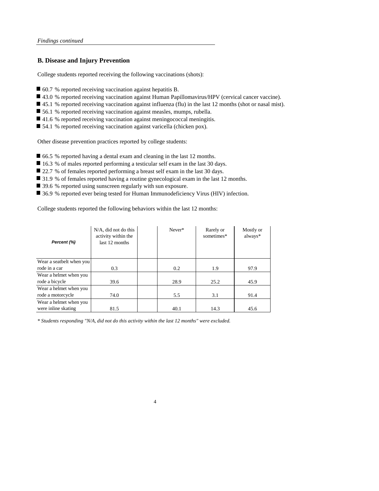#### **B. Disease and Injury Prevention**

College students reported receiving the following vaccinations (shots):

- 60.7 % reported receiving vaccination against hepatitis B.
- 43.0 % reported receiving vaccination against Human Papillomavirus/HPV (cervical cancer vaccine).
- 45.1 % reported receiving vaccination against influenza (flu) in the last 12 months (shot or nasal mist).
- 56.1 % reported receiving vaccination against measles, mumps, rubella.
- 41.6 % reported receiving vaccination against meningococcal meningitis.
- 54.1 % reported receiving vaccination against varicella (chicken pox).

Other disease prevention practices reported by college students:

- 66.5 % reported having a dental exam and cleaning in the last 12 months.
- 16.3 % of males reported performing a testicular self exam in the last 30 days.
- 22.7 % of females reported performing a breast self exam in the last 30 days.
- 31.9 % of females reported having a routine gynecological exam in the last 12 months.
- 39.6 % reported using sunscreen regularly with sun exposure.
- 36.9 % reported ever being tested for Human Immunodeficiency Virus (HIV) infection.

College students reported the following behaviors within the last 12 months:

| Percent (%)                                   | $N/A$ , did not do this<br>activity within the<br>last 12 months | Never* | Rarely or<br>sometimes* | Mostly or<br>always* |
|-----------------------------------------------|------------------------------------------------------------------|--------|-------------------------|----------------------|
| Wear a seatbelt when you                      |                                                                  |        |                         |                      |
| rode in a car                                 | 0.3                                                              | 0.2    | 1.9                     | 97.9                 |
| Wear a helmet when you<br>rode a bicycle      | 39.6                                                             | 28.9   | 25.2                    | 45.9                 |
| Wear a helmet when you<br>rode a motorcycle   | 74.0                                                             | 5.5    | 3.1                     | 91.4                 |
| Wear a helmet when you<br>were inline skating | 81.5                                                             | 40.1   | 14.3                    | 45.6                 |

*\* Students responding "N/A, did not do this activity within the last 12 months" were excluded.*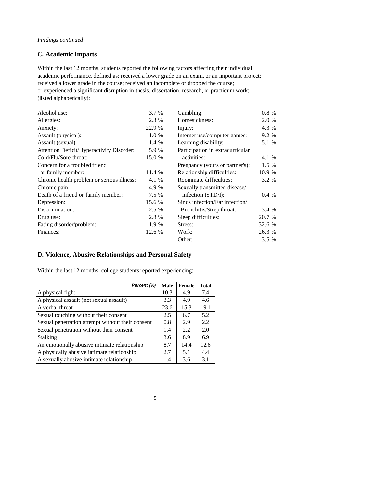#### **C. Academic Impacts**

academic performance, defined as: received a lower grade on an exam, or an important project; received a lower grade in the course; received an incomplete or dropped the course; or experienced a significant disruption in thesis, dissertation, research, or practicum work; (listed alphabetically): Within the last 12 months, students reported the following factors affecting their individual

| Alcohol use:                               | 3.7 %  | Gambling:                        | $0.8 \%$ |  |
|--------------------------------------------|--------|----------------------------------|----------|--|
| Allergies:                                 | 2.3 %  | Homesickness:                    | 2.0 %    |  |
| Anxiety:                                   | 22.9 % | Injury:                          | 4.3 %    |  |
| Assault (physical):                        | 1.0 %  | Internet use/computer games:     | 9.2 %    |  |
| Assault (sexual):                          | 1.4 %  | Learning disability:             | 5.1 %    |  |
| Attention Deficit/Hyperactivity Disorder:  | 5.9 %  | Participation in extracurricular |          |  |
| Cold/Flu/Sore throat:                      | 15.0 % | activities:                      | 4.1 %    |  |
| Concern for a troubled friend              |        | Pregnancy (yours or partner's):  | $1.5\%$  |  |
| or family member:                          | 11.4 % | Relationship difficulties:       | 10.9 %   |  |
| Chronic health problem or serious illness: | 4.1 %  | Roommate difficulties:           | 3.2 %    |  |
| Chronic pain:                              | 4.9 %  | Sexually transmitted disease/    |          |  |
| Death of a friend or family member:        | 7.5 %  | infection $(STD/I)$ :            | $0.4\%$  |  |
| Depression:                                | 15.6 % | Sinus infection/Ear infection/   |          |  |
| Discrimination:                            | 2.5 %  | Bronchitis/Strep throat:         | 3.4 %    |  |
| Drug use:                                  | 2.8 %  | Sleep difficulties:              | 20.7 %   |  |
| Eating disorder/problem:                   | 1.9 %  | Stress:                          | 32.6 %   |  |
| Finances:                                  | 12.6 % | Work:                            | 26.3 %   |  |
|                                            |        | Other:                           | 3.5 %    |  |

### **D. Violence, Abusive Relationships and Personal Safety**

Within the last 12 months, college students reported experiencing:

| Percent (%)                                      | Male | Female | <b>Total</b> |
|--------------------------------------------------|------|--------|--------------|
| A physical fight                                 | 10.3 | 4.9    | 7.4          |
| A physical assault (not sexual assault)          | 3.3  | 4.9    | 4.6          |
| A verbal threat                                  | 23.6 | 15.3   | 19.1         |
| Sexual touching without their consent            | 2.5  | 6.7    | 5.2          |
| Sexual penetration attempt without their consent | 0.8  | 2.9    | 2.2          |
| Sexual penetration without their consent         | 1.4  | 2.2    | 2.0          |
| <b>Stalking</b>                                  | 3.6  | 8.9    | 6.9          |
| An emotionally abusive intimate relationship     | 8.7  | 14.4   | 12.6         |
| A physically abusive intimate relationship       | 2.7  | 5.1    | 4.4          |
|                                                  | 1.4  | 3.6    | 3.1          |
| A sexually abusive intimate relationship         |      |        |              |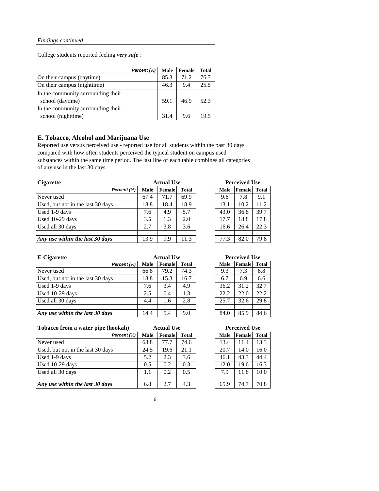College students reported feeling *very safe* :

|                                    | Percent (%) | <b>Male</b> | Female | <b>Total</b> |
|------------------------------------|-------------|-------------|--------|--------------|
| On their campus (daytime)          |             | 85.3        | 71.2   | 76.7         |
| On their campus (nighttime)        |             | 46.3        | 9.4    | 25.5         |
| In the community surrounding their |             |             |        |              |
| school (daytime)                   |             | 59.1        | 46.9   | 52.3         |
| In the community surrounding their |             |             |        |              |
| school (nighttime)                 |             | 314         | 9.6    | 19.5         |

### **E. Tobacco, Alcohol and Marijuana Use**

Reported use versus perceived use - reported use for all students within the past 30 days compared with how often students perceived the typical student on campus used substances within the same time period. The last line of each table combines all categories of any use in the last 30 days.

| <b>Cigarette</b>                  |      | <b>Actual Use</b> |              |  |      | <b>Perceived Use</b> |       |  |
|-----------------------------------|------|-------------------|--------------|--|------|----------------------|-------|--|
| Percent (%)                       | Male | Female            | <b>Total</b> |  | Male | Female               | Total |  |
| Never used                        | 67.4 | 71.7              | 69.9         |  | 9.6  | 7.8                  | 9.1   |  |
| Used, but not in the last 30 days | 18.8 | 18.4              | 18.9         |  | 13.1 | 10.2                 | 11.2  |  |
| Used 1-9 days                     | 7.6  | 4.9               | 5.7          |  | 43.0 | 36.8                 | 39.7  |  |
| Used 10-29 days                   | 3.5  | 1.3               | 2.0          |  | 17.7 | 18.8                 | 17.8  |  |
| Used all 30 days                  | 2.7  | 3.8               | 3.6          |  | 16.6 | 26.4                 | 22.3  |  |
|                                   |      |                   |              |  |      |                      |       |  |
| Any use within the last 30 days   | 13.9 | 9.9               | 11.3         |  | 77.3 | 82.0                 | 79.8  |  |

**Perceived Use** 

| Male | Female | <b>Total</b> |
|------|--------|--------------|
| 9.6  | 7.8    | 9.1          |
| 13.1 | 10.2   | 11.2         |
| 43.0 | 36.8   | 39.7         |
| 17.7 | 18.8   | 17.8         |
| 16.6 | 26.4   | 22.3         |
|      |        |              |
| 77.3 | 82.0   | 79.8         |

| <b>E-Cigarette</b>                |      | <b>Actual Use</b> |              |  |      | <b>Perceived Use</b> |              |  |
|-----------------------------------|------|-------------------|--------------|--|------|----------------------|--------------|--|
| Percent (%)                       | Male | Female            | <b>Total</b> |  | Male | Female               | <b>Total</b> |  |
| Never used                        | 66.8 | 79.2              | 74.3         |  | 9.3  | 7.3                  | 8.8          |  |
| Used, but not in the last 30 days | 18.8 | 15.3              | 16.7         |  | 6.7  | 6.9                  | 6.6          |  |
| Used 1-9 days                     | 7.6  | 3.4               | 4.9          |  | 36.2 | 31.2                 | 32.7         |  |
| Used 10-29 days                   | 2.5  | 0.4               | 1.3          |  | 22.2 | 22.0                 | 22.2         |  |
| Used all 30 days                  | 4.4  | 1.6               | 2.8          |  | 25.7 | 32.6                 | 29.8         |  |
|                                   |      |                   |              |  |      |                      |              |  |
| Any use within the last 30 days   | 14.4 | 5.4               | 9.0          |  | 84.0 | 85.9                 | 84.6         |  |

| <b>Actual Use</b> | <b>Perceived Use</b> |  |      |        |              |
|-------------------|----------------------|--|------|--------|--------------|
| Female            | <b>Total</b>         |  | Male | Female | <b>Total</b> |
| 79.2              | 74.3                 |  | 9.3  | 7.3    | 8.8          |
| 15.3              | 16.7                 |  | 6.7  | 6.9    | 6.6          |
| 3.4               | 4.9                  |  | 36.2 | 31.2   | 32.7         |
| 0.4               | 1.3                  |  | 22.2 | 22.0   | 22.2         |
| 1.6               | 2.8                  |  | 25.7 | 32.6   | 29.8         |
|                   |                      |  |      |        |              |
| 5.4               | 9.0                  |  | 84.0 | 85.9   | 84.6         |

| Tobacco from a water pipe (hookah) |      | <b>Actual Use</b> |              | <b>Perceived Use</b> |        |       |
|------------------------------------|------|-------------------|--------------|----------------------|--------|-------|
| Percent (%)                        | Male | <b>Female</b>     | <b>Total</b> | Male                 | Female | Total |
| Never used                         | 68.8 | 77.7              | 74.6         | 13.4                 | 11.4   | 13.3  |
| Used, but not in the last 30 days  | 24.5 | 19.6              | 21.1         | 20.7                 | 14.0   | 16.0  |
| Used 1-9 days                      | 5.2  | 2.3               | 3.6          | 46.1                 | 43.3   | 44.4  |
| Used $10-29$ days                  | 0.5  | 0.2               | 0.3          | 12.0                 | 19.6   | 16.3  |
| Used all 30 days                   | 1.1  | 0.2               | 0.5          | 7.9                  | 11.8   | 10.0  |
|                                    |      |                   |              |                      |        |       |
| Any use within the last 30 days    | 6.8  | 2.7               | 4.3          | 65.9                 | 74.7   | 70.8  |

| e <b>rceived Use</b> |  |
|----------------------|--|
|                      |  |

| Male | Female | <b>Total</b> |
|------|--------|--------------|
| 13.4 | 11.4   | 13.3         |
| 20.7 | 14.0   | 16.0         |
| 46.1 | 43.3   | 44.4         |
| 12.0 | 19.6   | 16.3         |
| 7.9  | 11.8   | 10.0         |
|      |        |              |
| 65.9 | 74.7   | 70.8         |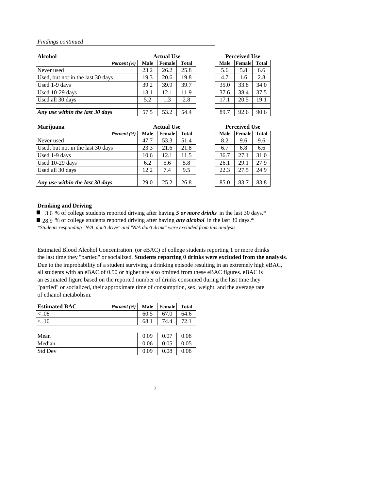| <b>Alcohol</b>                    |      | <b>Actual Use</b> |              |  | <b>Perceived Use</b> |        |       |
|-----------------------------------|------|-------------------|--------------|--|----------------------|--------|-------|
| Percent (%)                       | Male | Female            | <b>Total</b> |  | Male                 | Female | Total |
| Never used                        | 23.2 | 26.2              | 25.8         |  | 5.6                  | 5.8    | 6.6   |
| Used, but not in the last 30 days | 19.3 | 20.6              | 19.8         |  | 4.7                  | 1.6    | 2.8   |
| Used 1-9 days                     | 39.2 | 39.9              | 39.7         |  | 35.0                 | 33.8   | 34.0  |
| Used $10-29$ days                 | 13.1 | 12.1              | 11.9         |  | 37.6                 | 38.4   | 37.5  |
| Used all 30 days                  | 5.2  | 1.3               | 2.8          |  | 17.1                 | 20.5   | 19.1  |
|                                   |      |                   |              |  |                      |        |       |
| Any use within the last 30 days   | 57.5 | 53.2              | 54.4         |  | 89.7                 | 92.6   | 90.6  |

| <b>Marijuana</b>                  | <b>Actual Use</b> |        |              |  | <b>Perceived Use</b> |        |              |  |
|-----------------------------------|-------------------|--------|--------------|--|----------------------|--------|--------------|--|
| Percent (%)                       | Male              | Female | <b>Total</b> |  | Male                 | Female | <b>Total</b> |  |
| Never used                        | 47.7              | 53.3   | 51.4         |  | 8.2                  | 9.6    | 9.6          |  |
| Used, but not in the last 30 days | 23.3              | 21.6   | 21.8         |  | 6.7                  | 6.8    | 6.6          |  |
| Used 1-9 days                     | 10.6              | 12.1   | 11.5         |  | 36.7                 | 27.1   | 31.0         |  |
| Used 10-29 days                   | 6.2               | 5.6    | 5.8          |  | 26.1                 | 29.1   | 27.9         |  |
| Used all 30 days                  | 12.2              | 7.4    | 9.5          |  | 22.3                 | 27.5   | 24.9         |  |
|                                   |                   |        |              |  |                      |        |              |  |
| Any use within the last 30 days   | 29.0              | 25.2   | 26.8         |  | 85.0                 | 83.7   | 83.8         |  |

|      | <b>Perceived Use</b> |       |
|------|----------------------|-------|
| Male | <b>Female</b>        | Total |
| 5.6  | 5.8                  | 6.6   |
| 4.7  | 1.6                  | 2.8   |
| 35.0 | 33.8                 | 34.0  |
| 37.6 | 38.4                 | 37.5  |
| 17.1 | 20.5                 | 19.1  |
|      |                      |       |
| 89.7 | 92.6                 | 90.6  |

| <b>Perceived Use</b> |
|----------------------|
| <b>Total</b>         |
| 9.6                  |
| 6.6                  |
| 31.0                 |
| 27.9                 |
| 24.9                 |
|                      |
| 83.8                 |
|                      |

#### **Drinking and Driving**

■ 3.6 % of college students reported driving after having 5 or more drinks in the last 30 days.<sup>\*</sup>

■ 28.9 % of college students reported driving after having *any alcohol* in the last 30 days.<sup>\*</sup>

*\*Students responding "N/A, don't drive" and "N/A don't drink" were excluded from this analysis.*

Estimated Blood Alcohol Concentration (or eBAC) of college students reporting 1 or more drinks the last time they "partied" or socialized. **Students reporting 0 drinks were excluded from the analysis**. Due to the improbability of a student surviving a drinking episode resulting in an extremely high eBAC, all students with an eBAC of 0.50 or higher are also omitted from these eBAC figures. eBAC is an estimated figure based on the reported number of drinks consumed during the last time they "partied" or socialized, their approximate time of consumption, sex, weight, and the average rate of ethanol metabolism.

| <b>Estimated BAC</b> | Percent (%) | Male | Female | <b>Total</b> |
|----------------------|-------------|------|--------|--------------|
| < 0.08               |             | 60.5 | 67.0   | 64.6         |
| $\overline{< 0.10}$  |             | 68.1 | 74.4   | 72.1         |
|                      |             |      |        |              |
| Mean                 |             | 0.09 | 0.07   | 0.08         |
| Median               |             | 0.06 | 0.05   | 0.05         |
| <b>Std Dev</b>       |             | 0.09 | 0.08   | 0.08         |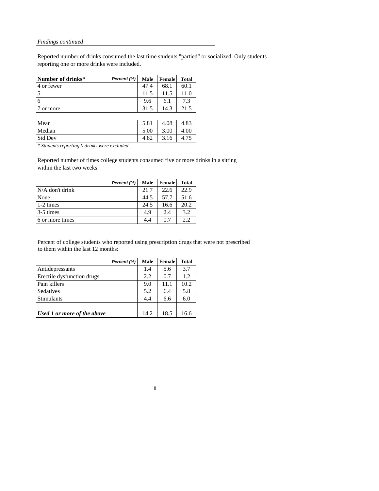Reported number of drinks consumed the last time students "partied" or socialized. Only students reporting one or more drinks were included.

| Number of drinks* | Percent (%) | Male | Female | Total |
|-------------------|-------------|------|--------|-------|
| 4 or fewer        |             | 47.4 | 68.1   | 60.1  |
| 5                 |             | 11.5 | 11.5   | 11.0  |
| 6                 |             | 9.6  | 6.1    | 7.3   |
| or more           |             | 31.5 | 14.3   | 21.5  |
|                   |             |      |        |       |
| Mean              |             | 5.81 | 4.08   | 4.83  |
| Median            |             | 5.00 | 3.00   | 4.00  |
| <b>Std Dev</b>    |             | 4.82 | 3.16   | 4.75  |

*\* Students reporting 0 drinks were excluded.*

Reported number of times college students consumed five or more drinks in a sitting within the last two weeks:

|                   | Percent (%) | Male | Female | <b>Total</b> |
|-------------------|-------------|------|--------|--------------|
| $N/A$ don't drink |             | 21.7 | 22.6   | 22.9         |
| None              |             | 44.5 | 57.7   | 51.6         |
| 1-2 times         |             | 24.5 | 16.6   | 20.2         |
| 3-5 times         |             | 4.9  | 2.4    | 3.2          |
| 6 or more times   |             | 4.4  | 0.7    | っっ           |

Percent of college students who reported using prescription drugs that were not prescribed to them within the last 12 months:

|                             | Percent (%) | Male | Female | <b>Total</b> |
|-----------------------------|-------------|------|--------|--------------|
| Antidepressants             |             | 1.4  | 5.6    | 3.7          |
| Erectile dysfunction drugs  |             | 2.2. | 0.7    | 1.2.         |
| Pain killers                |             | 9.0  | 11.1   | 10.2         |
| Sedatives                   |             | 5.2  | 6.4    | 5.8          |
| <b>Stimulants</b>           |             | 4.4  | 6.6    | 6.0          |
|                             |             |      |        |              |
| Used 1 or more of the above |             | 14.2 | 18.5   | 16.6         |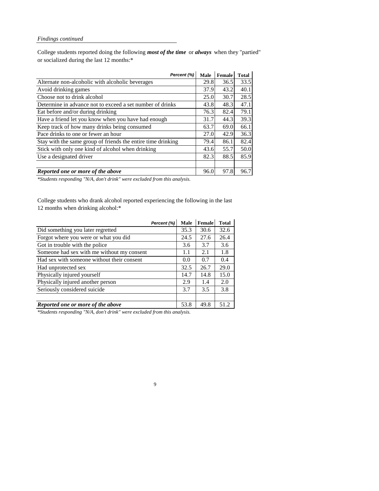College students reported doing the following *most of the time* or *always* when they "partied" or socialized during the last 12 months:\*

| Percent (%)                                                  | Male | Female | <b>Total</b> |
|--------------------------------------------------------------|------|--------|--------------|
| Alternate non-alcoholic with alcoholic beverages             | 29.8 | 36.5   | 33.5         |
| Avoid drinking games                                         | 37.9 | 43.2   | 40.1         |
| Choose not to drink alcohol                                  | 25.0 | 30.7   | 28.5         |
| Determine in advance not to exceed a set number of drinks    | 43.8 | 48.3   | 47.1         |
| Eat before and/or during drinking                            | 76.3 | 82.4   | 79.1         |
| Have a friend let you know when you have had enough          | 31.7 | 44.3   | 39.3         |
| Keep track of how many drinks being consumed                 | 63.7 | 69.0   | 66.1         |
| Pace drinks to one or fewer an hour                          | 27.0 | 42.9   | 36.3         |
| Stay with the same group of friends the entire time drinking | 79.4 | 86.1   | 82.4         |
| Stick with only one kind of alcohol when drinking            | 43.6 | 55.7   | 50.0         |
| Use a designated driver                                      | 82.3 | 88.5   | 85.9         |
|                                                              |      |        |              |
| Reported one or more of the above                            | 96.0 | 97.8   | 96.7         |

*\*Students responding "N/A, don't drink" were excluded from this analysis.*

College students who drank alcohol reported experiencing the following in the last 12 months when drinking alcohol:\*

|                                            | Percent (%) | Male | Female | Total |
|--------------------------------------------|-------------|------|--------|-------|
| Did something you later regretted          |             | 35.3 | 30.6   | 32.6  |
| Forgot where you were or what you did      |             | 24.5 | 27.6   | 26.4  |
| Got in trouble with the police             |             | 3.6  | 3.7    | 3.6   |
| Someone had sex with me without my consent |             | 1.1  | 2.1    | 1.8   |
| Had sex with someone without their consent |             | 0.0  | 0.7    | 0.4   |
| Had unprotected sex                        |             | 32.5 | 26.7   | 29.0  |
| Physically injured yourself                |             | 14.7 | 14.8   | 15.0  |
| Physically injured another person          |             | 2.9  | 1.4    | 2.0   |
| Seriously considered suicide               |             | 3.7  | 3.5    | 3.8   |
|                                            |             |      |        |       |
| Reported one or more of the above          |             | 53.8 | 49.8   | 51.2  |

*\*Students responding "N/A, don't drink" were excluded from this analysis.*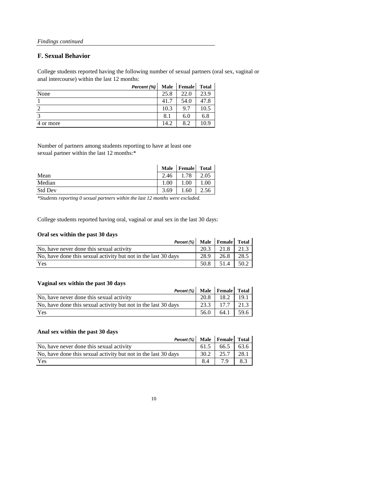### **F. Sexual Behavior**

College students reported having the following number of sexual partners (oral sex, vaginal or anal intercourse) within the last 12 months:

|           | Percent (%) | Male | Female | <b>Total</b> |
|-----------|-------------|------|--------|--------------|
| None      |             | 25.8 | 22.0   | 23.9         |
|           |             | 41.7 | 54.0   | 47.8         |
|           |             | 10.3 | 9.7    | 10.5         |
| 2         |             | 8.1  | 6.0    | 6.8          |
| 4 or more |             | 14.2 | 8.2    | 10.9         |

Number of partners among students reporting to have at least one sexual partner within the last 12 months:\*

|                | Male | Female | <b>Total</b> |
|----------------|------|--------|--------------|
| Mean           | 2.46 | 78     | 2.05         |
| Median         | 00.1 | .00.   | 00.1         |
| <b>Std Dev</b> | 3.69 | .60    | 2.56         |

*\*Students reporting 0 sexual partners within the last 12 months were excluded.*

College students reported having oral, vaginal or anal sex in the last 30 days:

#### **Oral sex within the past 30 days**

| UTAI SEX WILLIIII LIIE DASL JU QAVS                            |      |      |      |
|----------------------------------------------------------------|------|------|------|
| Percent (%) Male Female Total                                  |      |      |      |
| No, have never done this sexual activity                       | 20.3 | 21.8 | 21.3 |
| No, have done this sexual activity but not in the last 30 days | 28.9 | 26.8 | 28.5 |
| Yes                                                            | 50.8 | 51.4 | 50.2 |

 $\mathbf{r}$ 

#### **Vaginal sex within the past 30 days**

| vaginal scx within the past by days                            |        |               |      |
|----------------------------------------------------------------|--------|---------------|------|
| Percent (%) Male Female Total                                  |        |               |      |
| No, have never done this sexual activity                       | 20.8 L | 18.2          | 19.1 |
| No, have done this sexual activity but not in the last 30 days | 23.3   | $17.7$   21.3 |      |
| Yes                                                            | 56.0   | $64.1$ 59.6   |      |

#### **Anal sex within the past 30 days**

| Percent (%)   Male   Female   Total                            |      |      |      |
|----------------------------------------------------------------|------|------|------|
| No, have never done this sexual activity                       | 61.5 | 66.5 | 63.6 |
| No, have done this sexual activity but not in the last 30 days | 30.2 | 25.7 | 28.1 |
| Yes                                                            | 8.4  |      | 8.3  |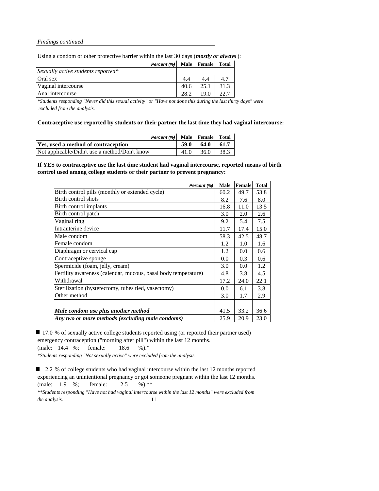Using a condom or other protective barrier within the last 30 days (*mostly or always* ):

| Percent (%)   Male   Female   Total |      |      |      |
|-------------------------------------|------|------|------|
| Sexually active students reported*  |      |      |      |
| Oral sex                            |      |      |      |
| Vaginal intercourse                 | 40.6 | 25.1 | 31.3 |
| Anal intercourse                    | 28.2 | 19.0 | 22.7 |

*\*Students responding "Never did this sexual activity" or "Have not done this during the last thirty days" were excluded from the analysis.*

**Contraceptive use reported by students or their partner the last time they had vaginal intercourse:**

| Percent (%) Male Female Total                 |                  |  |
|-----------------------------------------------|------------------|--|
| Yes, used a method of contraception           | $59.0$ 64.0 61.7 |  |
| Not applicable/Didn't use a method/Don't know | $41.0$ 36.0 38.3 |  |

#### **If YES to contraceptive use the last time student had vaginal intercourse, reported means of birth control used among college students or their partner to prevent pregnancy:**

| Percent (%)                                                    | Male | Female | <b>Total</b> |
|----------------------------------------------------------------|------|--------|--------------|
| Birth control pills (monthly or extended cycle)                | 60.2 | 49.7   | 53.8         |
| Birth control shots                                            | 8.2  | 7.6    | 8.0          |
| Birth control implants                                         | 16.8 | 11.0   | 13.5         |
| Birth control patch                                            | 3.0  | 2.0    | 2.6          |
| Vaginal ring                                                   | 9.2  | 5.4    | 7.5          |
| Intrauterine device                                            | 11.7 | 17.4   | 15.0         |
| Male condom                                                    | 58.3 | 42.5   | 48.7         |
| Female condom                                                  | 1.2  | 1.0    | 1.6          |
| Diaphragm or cervical cap                                      | 1.2  | 0.0    | 0.6          |
| Contraceptive sponge                                           | 0.0  | 0.3    | 0.6          |
| Spermicide (foam, jelly, cream)                                | 3.0  | 0.0    | 1.2          |
| Fertility awareness (calendar, mucous, basal body temperature) | 4.8  | 3.8    | 4.5          |
| Withdrawal                                                     | 17.2 | 24.0   | 22.1         |
| Sterilization (hysterectomy, tubes tied, vasectomy)            | 0.0  | 6.1    | 3.8          |
| Other method                                                   | 3.0  | 1.7    | 2.9          |
|                                                                |      |        |              |
| Male condom use plus another method                            | 41.5 | 33.2   | 36.6         |
| Any two or more methods (excluding male condoms)               | 25.9 | 20.9   | 23.0         |

■ 17.0 % of sexually active college students reported using (or reported their partner used) emergency contraception ("morning after pill") within the last 12 months.

(male: 14.4 %; female: 18.6 %).\*

*\*Students responding "Not sexually active" were excluded from the analysis.*

2.2 % of college students who had vaginal intercourse within the last 12 months reported experiencing an unintentional pregnancy or got someone pregnant within the last 12 months. (male: 1.9 %; female: 2.5 %).\*\* *\*\*Students responding "Have not had vaginal intercourse within the last 12 months" were excluded from the analysis.* 11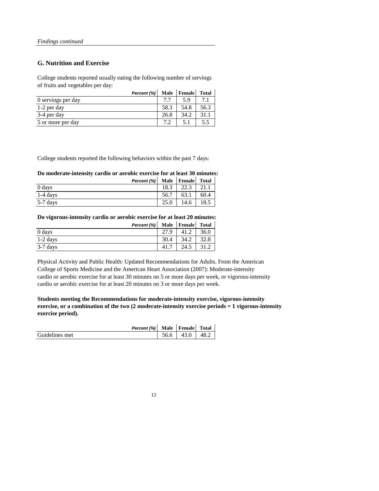### **G. Nutrition and Exercise**

College students reported usually eating the following number of servings of fruits and vegetables per day:

| Percent (%)        | Male | Female | <b>Total</b> |
|--------------------|------|--------|--------------|
| 0 servings per day | 77   | 5 9    |              |
| 1-2 per day        | 58.3 | 54.8   | 56.3         |
| 3-4 per day        | 26.8 | 34.2   | 31.1         |
| 5 or more per day  |      | 5.1    | 5.5          |

College students reported the following behaviors within the past 7 days:

#### **Do moderate-intensity cardio or aerobic exercise for at least 30 minutes:**

|            | Percent (%)   Male   Female   Total |      |      |      |
|------------|-------------------------------------|------|------|------|
| 0 days     |                                     | 18.3 | 22.3 | 21.1 |
| $1-4$ days |                                     | 56.7 | 63.1 | 60.4 |
| 5-7 days   |                                     | 25.0 | 14.6 | 18.5 |

#### **Do vigorous-intensity cardio or aerobic exercise for at least 20 minutes:**

|            | Percent (%) |      | Male Female | Total |
|------------|-------------|------|-------------|-------|
| 0 days     |             | 27.9 | 41.2        | 36.0  |
| $1-2$ days |             | 30.4 | 34.2        | 32.8  |
| $3-7$ days |             | 41.7 | 24.5        | 31.2  |

Physical Activity and Public Health: Updated Recommendations for Adults. From the American College of Sports Medicine and the American Heart Association (2007): Moderate-intensity cardio or aerobic exercise for at least 30 minutes on 5 or more days per week, or vigorous-intensity cardio or aerobic exercise for at least 20 minutes on 3 or more days per week.

**Students meeting the Recommendations for moderate-intensity exercise, vigorous-intensity exercise, or a combination of the two (2 moderate-intensity exercise periods = 1 vigorous-intensity exercise period).**

|                | Percent (%) Male Female |      |      | Total |
|----------------|-------------------------|------|------|-------|
| Guidelines met |                         | 56.6 | 43.0 | 48.2  |

| ٠ | ۹ |
|---|---|
|   |   |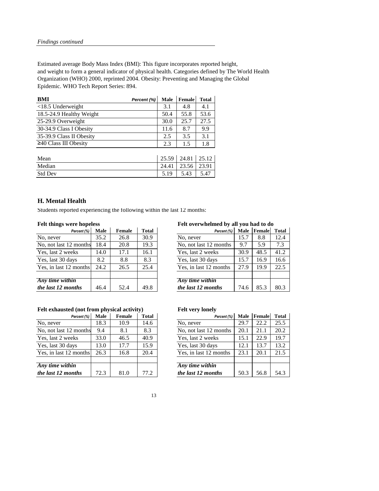Estimated average Body Mass Index (BMI): This figure incorporates reported height, and weight to form a general indicator of physical health. Categories defined by The World Health Organization (WHO) 2000, reprinted 2004. Obesity: Preventing and Managing the Global Epidemic. WHO Tech Report Series: 894.

| BMI                         | Percent (%) | Male | Female            | <b>Total</b> |
|-----------------------------|-------------|------|-------------------|--------------|
| $<$ 18.5 Underweight        |             | 3.1  | 4.8               | 4.1          |
| 18.5-24.9 Healthy Weight    |             | 50.4 | 55.8              | 53.6         |
| 25-29.9 Overweight          |             | 30.0 | 25.7              | 27.5         |
| 30-34.9 Class I Obesity     |             | 11.6 | 8.7               | 9.9          |
| 35-39.9 Class II Obesity    |             | 2.5  | 3.5               | 3.1          |
| $\geq$ 40 Class III Obesity |             | 2.3  | 1.5               | 1.8          |
|                             |             |      |                   |              |
| Mean                        |             |      | 25.59 24.81 25.12 |              |

| Mean           | 25.59 | 24.81       | 25.12 |
|----------------|-------|-------------|-------|
| Median         | 24.41 | 23.56 23.91 |       |
| <b>Std Dev</b> | 5.19  | 5.43        | 5.47  |

### **H. Mental Health**

Students reported experiencing the following within the last 12 months:

| Percent (%)            | Male | Female | <b>Total</b>                   | Percent (%)            | Male | Female | Total |
|------------------------|------|--------|--------------------------------|------------------------|------|--------|-------|
| No, never              | 35.2 | 26.8   | 30.9                           | No, never              | 15.7 | 8.8    | 12.4  |
| No, not last 12 months | 18.4 | 20.8   | 19.3<br>No, not last 12 months |                        | 9.7  | 5.9    | 7.3   |
| Yes, last 2 weeks      | 14.0 | 17.1   | 16.1<br>Yes, last 2 weeks      |                        | 30.9 | 48.5   | 41.2  |
| Yes, last 30 days      | 8.2  | 8.8    | 8.3                            | Yes, last 30 days      | 15.7 | 16.9   | 16.6  |
| Yes, in last 12 months | 24.2 | 26.5   | 25.4                           | Yes, in last 12 months | 27.9 | 19.9   | 22.5  |
|                        |      |        |                                |                        |      |        |       |
| Any time within        |      |        |                                | Any time within        |      |        |       |
| the last 12 months     | 46.4 | 52.4   | 49.8                           | the last 12 months     | 74.6 | 85.3   | 80.3  |

#### Felt exhausted (not from physical activity) Felt very lonely

| Percent (%)            | Male | Female | Total | Percent (%)            | Male | Female | Total |
|------------------------|------|--------|-------|------------------------|------|--------|-------|
| No, never              | 18.3 | 10.9   | 14.6  | No, never              | 29.7 | 22.2   | 25.5  |
| No, not last 12 months | 9.4  | 8.1    | 8.3   | No, not last 12 months | 20.1 | 21.1   | 20.2  |
| Yes, last 2 weeks      | 33.0 | 46.5   | 40.9  | Yes, last 2 weeks      | 15.1 | 22.9   | 19.7  |
| Yes, last 30 days      | 13.0 | 17.7   | 15.9  | Yes, last 30 days      | 12.1 | 13.7   | 13.2  |
| Yes, in last 12 months | 26.3 | 16.8   | 20.4  | Yes, in last 12 months | 23.1 | 20.1   | 21.5  |
|                        |      |        |       |                        |      |        |       |
| Any time within        |      |        |       | Any time within        |      |        |       |
| the last 12 months     | 72.3 | 81.0   | 77.2  | the last 12 months     | 50.3 | 56.8   | 54.3  |

#### **Felt things were hopeless Felt overwhelmed by all you had to do**

| Percent (%) | Male | Female | <b>Total</b> | Percent (%)            | Male | Female | <b>Total</b> |
|-------------|------|--------|--------------|------------------------|------|--------|--------------|
|             | 35.2 | 26.8   | 30.9         | No, never              | 15.7 | 8.8    | 12.4         |
| months      | 18.4 | 20.8   | 19.3         | No, not last 12 months | 9.7  | 5.9    | 7.3          |
| eks         | 14.0 | 17.1   | 16.1         | Yes, last 2 weeks      | 30.9 | 48.5   | 41.2         |
| ιys         | 8.2  | 8.8    | 8.3          | Yes, last 30 days      | 15.7 | 16.9   | 16.6         |
| months      | 24.2 | 26.5   | 25.4         | Yes, in last 12 months | 27.9 | 19.9   | 22.5         |
|             |      |        |              |                        |      |        |              |
| in          |      |        |              | Any time within        |      |        |              |
| nths        | 46.4 | 52.4   | 49.8         | the last 12 months     | 74.6 | 85.3   | 80.3         |

| Percent (%) | Male | Female | <b>Total</b> | Percent (%)            | Male | Female | <b>Total</b> |
|-------------|------|--------|--------------|------------------------|------|--------|--------------|
|             | 18.3 | 10.9   | 14.6         | No, never              | 29.7 | 22.2   | 25.5         |
| months      | 9.4  | 8.1    | 8.3          | No, not last 12 months | 20.1 | 21.1   | 20.2         |
| eks         | 33.0 | 46.5   | 40.9         | Yes, last 2 weeks      | 15.1 | 22.9   | 19.7         |
| ιys         | 13.0 | 17.7   | 15.9         | Yes, last 30 days      | 12.1 | 13.7   | 13.2         |
| months      | 26.3 | 16.8   | 20.4         | Yes, in last 12 months | 23.1 | 20.1   | 21.5         |
|             |      |        |              |                        |      |        |              |
| in          |      |        |              | Any time within        |      |        |              |
| nths        | 72.3 | 81.0   | 77.2         | the last 12 months     | 50.3 | 56.8   | 54.3         |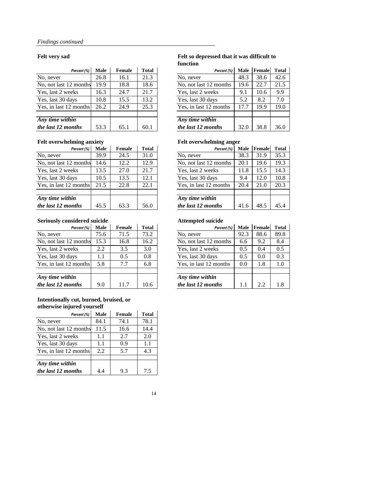| Percent (%)            | Male | Female | Total | Percent (%)            | Male | Female | Total |
|------------------------|------|--------|-------|------------------------|------|--------|-------|
| No, never              | 26.8 | 16.1   | 21.3  | No, never              | 48.3 | 38.6   | 42.6  |
| No, not last 12 months | 19.9 | 18.8   | 18.6  | No, not last 12 months | 19.6 | 22.7   | 21.5  |
| Yes, last 2 weeks      | 16.3 | 24.7   | 21.7  | Yes, last 2 weeks      | 9.1  | 10.6   | 9.9   |
| Yes, last 30 days      | 10.8 | 15.5   | 13.2  | Yes, last 30 days      | 5.2  | 8.2    | 7.0   |
| Yes, in last 12 months | 26.2 | 24.9   | 25.3  | Yes, in last 12 months | 17.7 | 19.9   | 19.0  |
|                        |      |        |       |                        |      |        |       |
| Any time within        |      |        |       | Any time within        |      |        |       |
| the last 12 months     | 53.3 | 65.1   | 60.1  | the last 12 months     | 32.0 | 38.8   | 36.0  |

## Felt overwhelming anxiety **Felt overwhelming anger**

| Percent (%)            | Male | Female | <b>Total</b> | Percent (%)            | Male | Female | Total |
|------------------------|------|--------|--------------|------------------------|------|--------|-------|
| No. never              | 39.9 | 24.5   | 31.0         | No, never              | 38.3 | 31.9   | 35.3  |
| No, not last 12 months | 14.6 | 12.2   | 12.9         | No, not last 12 months | 20.1 | 19.6   | 19.3  |
| Yes, last 2 weeks      | 13.5 | 27.0   | 21.7         | Yes, last 2 weeks      | 11.8 | 15.5   | 14.3  |
| Yes, last 30 days      | 10.5 | 13.5   | 12.1         | Yes, last 30 days      | 9.4  | 12.0   | 10.8  |
| Yes, in last 12 months | 21.5 | 22.8   | 22.1         | Yes, in last 12 months | 20.4 | 21.0   | 20.3  |
|                        |      |        |              |                        |      |        |       |
| Any time within        |      |        |              | Any time within        |      |        |       |
| the last 12 months     | 45.5 | 63.3   | 56.0         | the last 12 months     | 41.6 | 48.5   | 45.4  |

### **Seriously considered suicide Attempted suicide**

| Percent (%)            | Male | Female | <b>Total</b>                   | Percent (%)            | Male | Female | Total |
|------------------------|------|--------|--------------------------------|------------------------|------|--------|-------|
| No. never              | 75.6 | 71.5   | 73.2                           | No, never              | 92.3 | 88.6   | 89.8  |
| No, not last 12 months | 15.3 | 16.8   | 16.2<br>No, not last 12 months |                        | 6.6  | 9.2    | 8.4   |
| Yes, last 2 weeks      | 2.2  | 3.5    | 3.0                            | Yes, last 2 weeks      | 0.5  | 0.4    | 0.5   |
| Yes, last 30 days      | 1.1  | 0.5    | 0.8                            | Yes, last 30 days      | 0.5  | 0.0    | 0.3   |
| Yes, in last 12 months | 5.8  | 7.7    | 6.8                            | Yes, in last 12 months | 0.0  | 1.8    | 1.0   |
| Any time within        |      |        |                                | Any time within        |      |        |       |
| the last 12 months     | 9.0  | 11.7   | 10.6                           | the last 12 months     | 1.1  | 2.2    | 1.8   |

#### **Intentionally cut, burned, bruised, or otherwise injured yourself**

| Percent (%)            | Male | Female | Total |
|------------------------|------|--------|-------|
| No, never              | 84.1 | 74.1   | 78.1  |
| No, not last 12 months | 11.5 | 16.6   | 14.4  |
| Yes, last 2 weeks      | 1.1  | 2.7    | 2.0   |
| Yes, last 30 days      | 1.1  | 0.9    | 1.1   |
| Yes, in last 12 months | 2.2  | 5.7    | 4.3   |
|                        |      |        |       |
| Any time within        |      |        |       |
| the last 12 months     | 4.4  | 9.3    | 7.5   |

#### **Felt very sad Felt so depressed that it was difficult to function**

| Percent (%) | Male | Female | <b>Total</b> | Percent (%)            | Male | Female | <b>Total</b> |
|-------------|------|--------|--------------|------------------------|------|--------|--------------|
|             | 26.8 | 16.1   | 21.3         | No, never              | 48.3 | 38.6   | 42.6         |
| months      | 19.9 | 18.8   | 18.6         | No, not last 12 months | 19.6 | 22.7   | 21.5         |
| eks         | 16.3 | 24.7   | 21.7         | Yes, last 2 weeks      | 9.1  | 10.6   | 9.9          |
| ιys         | 10.8 | 15.5   | 13.2         | Yes, last 30 days      | 5.2  | 8.2    | 7.0          |
| months      | 26.2 | 24.9   | 25.3         | Yes, in last 12 months | 17.7 | 19.9   | 19.0         |
|             |      |        |              |                        |      |        |              |
| in          |      |        |              | Any time within        |      |        |              |
| nths        | 53.3 | 65.1   | 60.1         | the last 12 months     | 32.0 | 38.8   | 36.0         |

| Percent (%) | Male | Female | <b>Total</b> | Percent (%)            | Male | Female | <b>Total</b> |
|-------------|------|--------|--------------|------------------------|------|--------|--------------|
|             | 39.9 | 24.5   | 31.0         | No, never              | 38.3 | 31.9   | 35.3         |
| months      | 14.6 | 12.2   | 12.9         | No, not last 12 months | 20.1 | 19.6   | 19.3         |
| eks         | 13.5 | 27.0   | 21.7         | Yes, last 2 weeks      | 11.8 | 15.5   | 14.3         |
| ιys         | 10.5 | 13.5   | 12.1         | Yes, last 30 days      | 9.4  | 12.0   | 10.8         |
| months      | 21.5 | 22.8   | 22.1         | Yes, in last 12 months | 20.4 | 21.0   | 20.3         |
|             |      |        |              |                        |      |        |              |
| in          |      |        |              | Any time within        |      |        |              |
| nths        | 45.5 | 63.3   | 56.0         | the last 12 months     | 41.6 | 48.5   | 45.4         |

| Percent (%) | Male | Female | <b>Total</b> | Percent (%)            | Male | Female | <b>Total</b> |
|-------------|------|--------|--------------|------------------------|------|--------|--------------|
|             | 75.6 | 71.5   | 73.2         | No, never              | 92.3 | 88.6   | 89.8         |
| months      | 15.3 | 16.8   | 16.2         | No, not last 12 months | 6.6  | 9.2    | 8.4          |
| eks         | 2.2  | 3.5    | 3.0          | Yes, last 2 weeks      | 0.5  | 0.4    | 0.5          |
| ιys         | 1.1  | 0.5    | 0.8          | Yes, last 30 days      | 0.5  | 0.0    | 0.3          |
| months      | 5.8  | 7.7    | 6.8          | Yes, in last 12 months | 0.0  | 1.8    | 1.0          |
|             |      |        |              |                        |      |        |              |
| in          |      |        |              | Any time within        |      |        |              |
| nths        | 9.0  | 11.7   | 10.6         | the last 12 months     | 1.1  | 2.2    | 1.8          |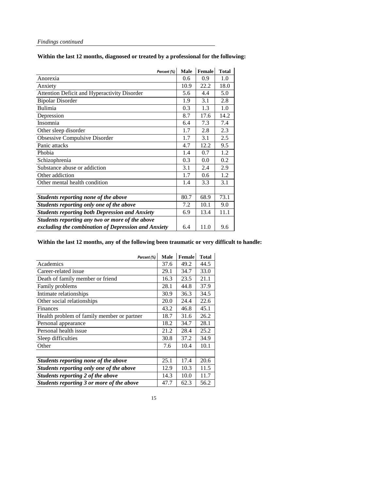|                                                       | Percent (%) | Male | Female | <b>Total</b> |
|-------------------------------------------------------|-------------|------|--------|--------------|
| Anorexia                                              |             | 0.6  | 0.9    | 1.0          |
| Anxiety                                               |             | 10.9 | 22.2   | 18.0         |
| Attention Deficit and Hyperactivity Disorder          |             | 5.6  | 4.4    | 5.0          |
| <b>Bipolar Disorder</b>                               |             | 1.9  | 3.1    | 2.8          |
| Bulimia                                               |             | 0.3  | 1.3    | 1.0          |
| Depression                                            |             | 8.7  | 17.6   | 14.2         |
| Insomnia                                              |             | 6.4  | 7.3    | 7.4          |
| Other sleep disorder                                  |             | 1.7  | 2.8    | 2.3          |
| Obsessive Compulsive Disorder                         |             | 1.7  | 3.1    | 2.5          |
| Panic attacks                                         |             | 4.7  | 12.2   | 9.5          |
| Phobia                                                |             | 1.4  | 0.7    | 1.2          |
| Schizophrenia                                         |             | 0.3  | 0.0    | 0.2          |
| Substance abuse or addiction                          |             | 3.1  | 2.4    | 2.9          |
| Other addiction                                       |             | 1.7  | 0.6    | 1.2          |
| Other mental health condition                         |             | 1.4  | 3.3    | 3.1          |
|                                                       |             |      |        |              |
| Students reporting none of the above                  |             | 80.7 | 68.9   | 73.1         |
| Students reporting only one of the above              |             | 7.2  | 10.1   | 9.0          |
| <b>Students reporting both Depression and Anxiety</b> |             | 6.9  | 13.4   | 11.1         |
| Students reporting any two or more of the above       |             |      |        |              |
| excluding the combination of Depression and Anxiety   |             | 6.4  | 11.0   | 9.6          |

### **Within the last 12 months, diagnosed or treated by a professional for the following:**

### **Within the last 12 months, any of the following been traumatic or very difficult to handle:**

| Percent (%)                                | Male | Female | <b>Total</b> |
|--------------------------------------------|------|--------|--------------|
| Academics                                  | 37.6 | 49.2   | 44.5         |
| Career-related issue                       | 29.1 | 34.7   | 33.0         |
| Death of family member or friend           | 16.3 | 23.5   | 21.1         |
| Family problems                            | 28.1 | 44.8   | 37.9         |
| Intimate relationships                     | 30.9 | 36.3   | 34.5         |
| Other social relationships                 | 20.0 | 24.4   | 22.6         |
| <b>Finances</b>                            | 43.2 | 46.8   | 45.1         |
| Health problem of family member or partner | 18.7 | 31.6   | 26.2         |
| Personal appearance                        | 18.2 | 34.7   | 28.1         |
| Personal health issue                      | 21.2 | 28.4   | 25.2         |
| Sleep difficulties                         | 30.8 | 37.2   | 34.9         |
| Other                                      | 7.6  | 10.4   | 10.1         |
|                                            |      |        |              |
| Students reporting none of the above       | 25.1 | 17.4   | 20.6         |
| Students reporting only one of the above   | 12.9 | 10.3   | 11.5         |
| Students reporting 2 of the above          | 14.3 | 10.0   | 11.7         |
| Students reporting 3 or more of the above  | 47.7 | 62.3   | 56.2         |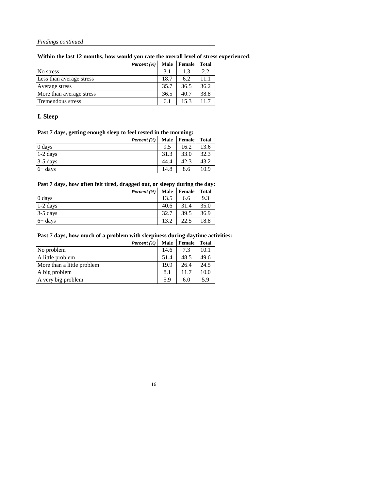## **Within the last 12 months, how would you rate the overall level of stress experienced:**

|                          | Percent (%) | Male | Female | <b>Total</b> |
|--------------------------|-------------|------|--------|--------------|
| No stress                |             | 3.1  | 1.3    | 2.2          |
| Less than average stress |             | 18.7 | 6.2    | 11.1         |
| Average stress           |             | 35.7 | 36.5   | 36.2         |
| More than average stress |             | 36.5 | 40.7   | 38.8         |
| Tremendous stress        |             | 6.1  | 15.3   | 11.7         |

### **I. Sleep**

#### **Past 7 days, getting enough sleep to feel rested in the morning:**

|            | Percent (%) | Male | Female | <b>Total</b> |
|------------|-------------|------|--------|--------------|
| $0$ days   |             | 9.5  | 16.2   | 13.6         |
| $1-2$ days |             | 31.3 | 33.0   | 32.3         |
| $3-5$ days |             | 44.4 | 42.3   | 43.2         |
| $6+$ days  |             | 14.8 | 8.6    | 10.9         |

## **Past 7 days, how often felt tired, dragged out, or sleepy during the day:**

|            | Percent (%) | <b>Male</b> | Female | <b>Total</b> |
|------------|-------------|-------------|--------|--------------|
| 0 days     |             | 13.5        | 6.6    | 9.3          |
| $1-2$ days |             | 40.6        | 31.4   | 35.0         |
| $3-5$ days |             | 32.7        | 39.5   | 36.9         |
| $6+$ days  |             | 13.2        | 22.5   | 18.8         |

#### **Past 7 days, how much of a problem with sleepiness during daytime activities:**

|                            | Percent (%) | Male | Female | <b>Total</b> |
|----------------------------|-------------|------|--------|--------------|
| No problem                 |             | 14.6 | 7.3    | 10.1         |
| A little problem           |             | 51.4 | 48.5   | 49.6         |
| More than a little problem |             | 19.9 | 26.4   | 24.5         |
| A big problem              |             | 8.1  | 11.7   | 10.0         |
| A very big problem         |             | 5.9  | 6.0    | 5.9          |